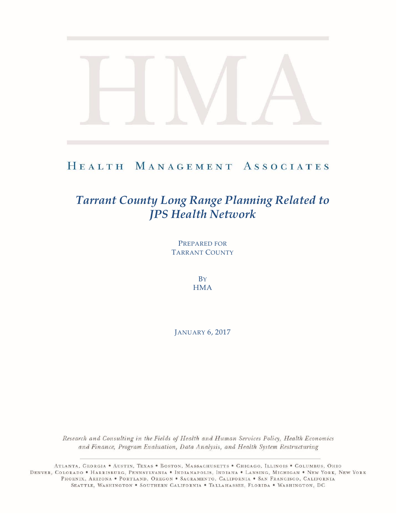## HEALTH MANAGEMENT ASSOCIATES

# *Tarrant County Long Range Planning Related to JPS Health Network*

PREPARED FOR TARRANT COUNTY

> **B**Y **HMA**

JANUARY 6, 2017

Research and Consulting in the Fields of Health and Human Services Policy, Health Economics and Finance, Program Evaluation, Data Analysis, and Health System Restructuring

ATLANTA, GEORGIA . AUSTIN, TEXAS . BOSTON, MASSACHUSETTS . CHICAGO, ILLINOIS . COLUMBUS, OHIO DENVER, COLORADO • HARRISBURG, PENNSYLVANIA • INDIANAPOLIS, INDIANA • LANSING, MICHIGAN • NEW YORK, NEW YORK PHOENIX, ARIZONA . PORTLAND, OREGON . SACRAMENTO, CALIFORNIA . SAN FRANCISCO, CALIFORNIA SEATTLE, WASHINGTON . SOUTHERN CALIFORNIA . TALLAHASSEE, FLORIDA . WASHINGTON, DC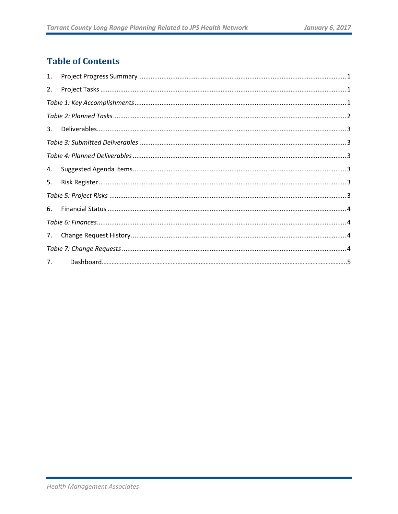## **Table of Contents**

| 1. |  |
|----|--|
| 2. |  |
|    |  |
|    |  |
| 3. |  |
|    |  |
|    |  |
| 4. |  |
| 5. |  |
|    |  |
| 6. |  |
|    |  |
| 7. |  |
|    |  |
| 7. |  |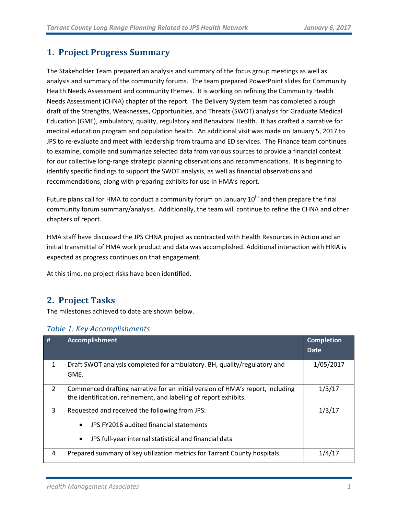## <span id="page-2-0"></span>**1. Project Progress Summary**

The Stakeholder Team prepared an analysis and summary of the focus group meetings as well as analysis and summary of the community forums. The team prepared PowerPoint slides for Community Health Needs Assessment and community themes. It is working on refining the Community Health Needs Assessment (CHNA) chapter of the report. The Delivery System team has completed a rough draft of the Strengths, Weaknesses, Opportunities, and Threats (SWOT) analysis for Graduate Medical Education (GME), ambulatory, quality, regulatory and Behavioral Health. It has drafted a narrative for medical education program and population health. An additional visit was made on January 5, 2017 to JPS to re-evaluate and meet with leadership from trauma and ED services. The Finance team continues to examine, compile and summarize selected data from various sources to provide a financial context for our collective long-range strategic planning observations and recommendations. It is beginning to identify specific findings to support the SWOT analysis, as well as financial observations and recommendations, along with preparing exhibits for use in HMA's report.

Future plans call for HMA to conduct a community forum on January  $10<sup>th</sup>$  and then prepare the final community forum summary/analysis. Additionally, the team will continue to refine the CHNA and other chapters of report.

HMA staff have discussed the JPS CHNA project as contracted with Health Resources in Action and an initial transmittal of HMA work product and data was accomplished. Additional interaction with HRIA is expected as progress continues on that engagement.

<span id="page-2-1"></span>At this time, no project risks have been identified.

### **2. Project Tasks**

The milestones achieved to date are shown below.

<span id="page-2-2"></span>

| #              | <b>Accomplishment</b>                                                                                                                                                        | <b>Completion</b><br>Date. |
|----------------|------------------------------------------------------------------------------------------------------------------------------------------------------------------------------|----------------------------|
| $\mathbf{1}$   | Draft SWOT analysis completed for ambulatory. BH, quality/regulatory and<br>GME.                                                                                             | 1/05/2017                  |
| $\overline{2}$ | Commenced drafting narrative for an initial version of HMA's report, including<br>the identification, refinement, and labeling of report exhibits.                           | 1/3/17                     |
| 3              | Requested and received the following from JPS:<br>JPS FY2016 audited financial statements<br>$\bullet$<br>JPS full-year internal statistical and financial data<br>$\bullet$ | 1/3/17                     |
| 4              | Prepared summary of key utilization metrics for Tarrant County hospitals.                                                                                                    | 1/4/17                     |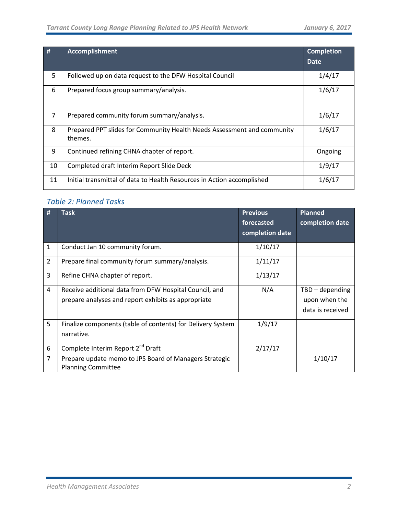| #              | <b>Accomplishment</b>                                                              | <b>Completion</b><br>Date |
|----------------|------------------------------------------------------------------------------------|---------------------------|
| 5              | Followed up on data request to the DFW Hospital Council                            | 1/4/17                    |
| 6              | Prepared focus group summary/analysis.                                             | 1/6/17                    |
| $\overline{7}$ | Prepared community forum summary/analysis.                                         | 1/6/17                    |
| 8              | Prepared PPT slides for Community Health Needs Assessment and community<br>themes. | 1/6/17                    |
| 9              | Continued refining CHNA chapter of report.                                         | Ongoing                   |
| 10             | Completed draft Interim Report Slide Deck                                          | 1/9/17                    |
| 11             | Initial transmittal of data to Health Resources in Action accomplished             | 1/6/17                    |

## <span id="page-3-0"></span>*Table 2: Planned Tasks*

<span id="page-3-1"></span>

| #              | <b>Task</b>                                                 | <b>Previous</b> | <b>Planned</b>    |
|----------------|-------------------------------------------------------------|-----------------|-------------------|
|                |                                                             | forecasted      | completion date   |
|                |                                                             | completion date |                   |
| 1              | Conduct Jan 10 community forum.                             | 1/10/17         |                   |
| $\overline{2}$ | Prepare final community forum summary/analysis.             | 1/11/17         |                   |
| 3              | Refine CHNA chapter of report.                              | 1/13/17         |                   |
| 4              | Receive additional data from DFW Hospital Council, and      | N/A             | $TBD - depending$ |
|                | prepare analyses and report exhibits as appropriate         |                 | upon when the     |
|                |                                                             |                 | data is received  |
| 5              | Finalize components (table of contents) for Delivery System | 1/9/17          |                   |
|                | narrative.                                                  |                 |                   |
| 6              | Complete Interim Report 2 <sup>nd</sup> Draft               | 2/17/17         |                   |
| $\overline{7}$ | Prepare update memo to JPS Board of Managers Strategic      |                 | 1/10/17           |
|                | <b>Planning Committee</b>                                   |                 |                   |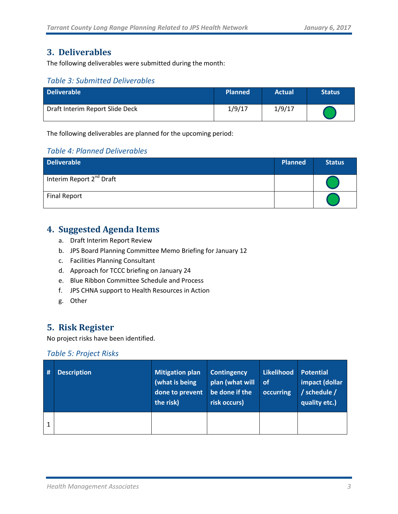## **3. Deliverables**

The following deliverables were submitted during the month:

#### <span id="page-4-0"></span>*Table 3: Submitted Deliverables*

| <b>Deliverable</b>              | <b>Planned</b> | <b>Actual</b> | <b>Status</b> |
|---------------------------------|----------------|---------------|---------------|
| Draft Interim Report Slide Deck | 1/9/17         | 1/9/17        |               |

The following deliverables are planned for the upcoming period:

#### <span id="page-4-1"></span>*Table 4: Planned Deliverables*

| <b>Deliverable</b>                   | <b>Planned</b> | <b>Status</b> |
|--------------------------------------|----------------|---------------|
| Interim Report 2 <sup>nd</sup> Draft |                |               |
| <b>Final Report</b>                  |                |               |

## <span id="page-4-2"></span>**4. Suggested Agenda Items**

- a. Draft Interim Report Review
- b. JPS Board Planning Committee Memo Briefing for January 12
- c. Facilities Planning Consultant
- d. Approach for TCCC briefing on January 24
- e. Blue Ribbon Committee Schedule and Process
- f. JPS CHNA support to Health Resources in Action
- g. Other

## <span id="page-4-3"></span>**5. Risk Register**

No project risks have been identified.

#### <span id="page-4-4"></span>*Table 5: Project Risks*

| # | <b>Description</b> | <b>Mitigation plan</b><br>(what is being<br>done to prevent<br>the risk) | <b>Contingency</b><br>plan (what will<br>be done if the<br>risk occurs) | Likelihood<br>∣ of<br>occurring | Potential<br>impact (dollar<br>/ schedule /<br>quality etc.) |
|---|--------------------|--------------------------------------------------------------------------|-------------------------------------------------------------------------|---------------------------------|--------------------------------------------------------------|
|   |                    |                                                                          |                                                                         |                                 |                                                              |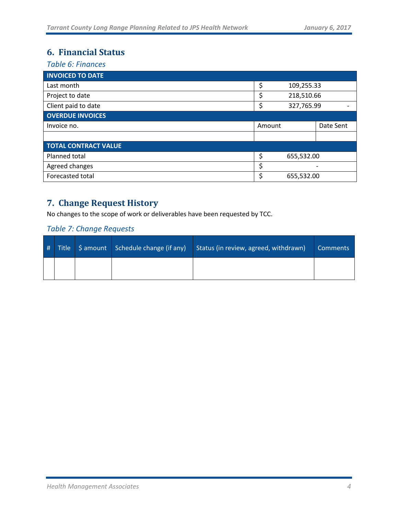## <span id="page-5-0"></span>**6. Financial Status**

<span id="page-5-1"></span>*Table 6: Finances*

| <b>INVOICED TO DATE</b>     |                  |  |           |
|-----------------------------|------------------|--|-----------|
| Last month                  | \$<br>109,255.33 |  |           |
| Project to date             | 218,510.66       |  |           |
| Client paid to date         | 327,765.99<br>\$ |  |           |
| <b>OVERDUE INVOICES</b>     |                  |  |           |
| Invoice no.                 | Amount           |  | Date Sent |
|                             |                  |  |           |
| <b>TOTAL CONTRACT VALUE</b> |                  |  |           |
| Planned total               | \$<br>655,532.00 |  |           |
| Agreed changes              | \$               |  |           |
| Forecasted total            | \$<br>655,532.00 |  |           |

## <span id="page-5-2"></span>**7. Change Request History**

No changes to the scope of work or deliverables have been requested by TCC.

#### <span id="page-5-3"></span>*Table 7: Change Requests*

| # |  | Title   \$ amount   Schedule change (if any) | Status (in review, agreed, withdrawn) | <b>Comments</b> |
|---|--|----------------------------------------------|---------------------------------------|-----------------|
|   |  |                                              |                                       |                 |